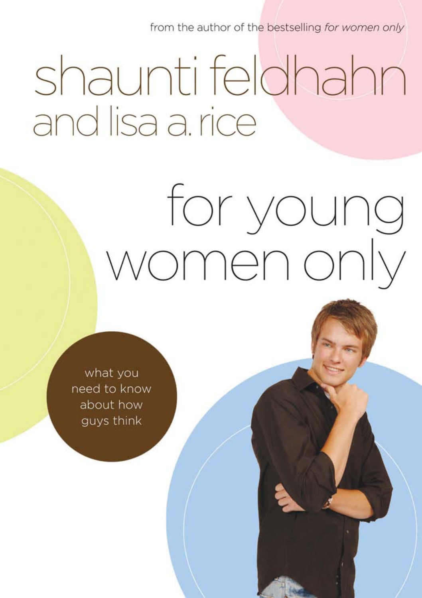from the author of the bestselling for women only

# shaunti feldhahn and lisa a. rice

# for young women only

what you need to know about how guys think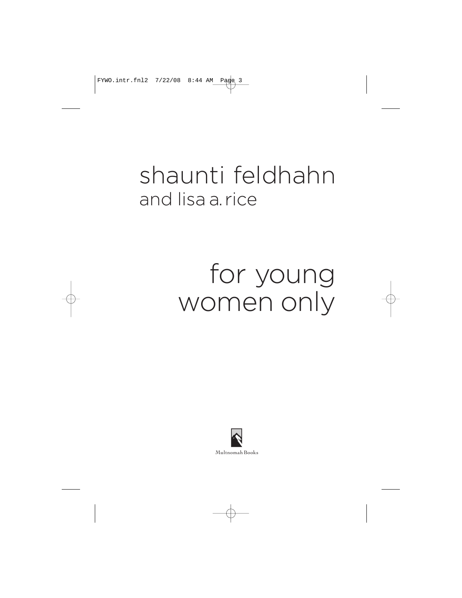# shaunti feldhahn and lisa a.rice

# for young women only

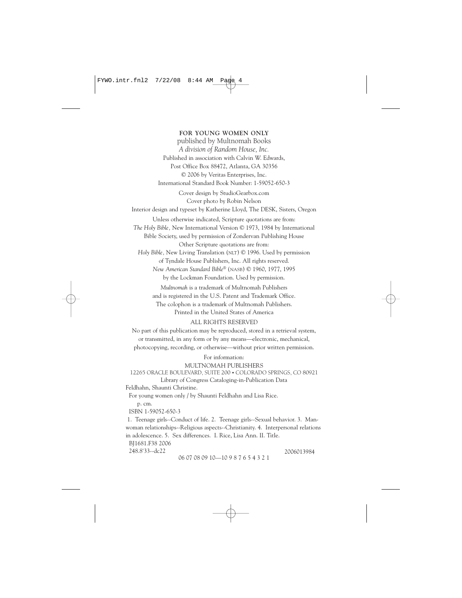**FOR YOUNG WOMEN ONLY** published by Multnomah Books *A division of Random House, Inc.* Published in association with Calvin W. Edwards, Post Office Box 88472, Atlanta, GA 30356 © 2006 by Veritas Enterprises, Inc. International Standard Book Number: 1-59052-650-3 Cover design by StudioGearbox.com Cover photo by Robin Nelson Interior design and typeset by Katherine Lloyd, The DESK, Sisters, Oregon Unless otherwise indicated, Scripture quotations are from: *The Holy Bible,* New International Version © 1973, 1984 by International Bible Society, used by permission of Zondervan Publishing House Other Scripture quotations are from: *Holy Bible,* New Living Translation (NLT) © 1996. Used by permission of Tyndale House Publishers, Inc. All rights reserved. *New American Standard Bible®* (NASB) © 1960, 1977, 1995 by the Lockman Foundation. Used by permission. *Multnomah* is a trademark of Multnomah Publishers and is registered in the U.S. Patent and Trademark Office. The colophon is a trademark of Multnomah Publishers. Printed in the United States of America

#### ALL RIGHTS RESERVED

No part of this publication may be reproduced, stored in a retrieval system, or transmitted, in any form or by any means—electronic, mechanical, photocopying, recording, or otherwise—without prior written permission.

> For information: MULTNOMAH PUBLISHERS

```
12265 ORACLE BOULEVARD, SUITE 200 • COLORADO SPRINGS, CO 80921
Library of Congress Cataloging-in-Publication Data
```
Feldhahn, Shaunti Christine.

For young women only / by Shaunti Feldhahn and Lisa Rice.

p. cm.

ISBN 1-59052-650-3

1. Teenage girls--Conduct of life. 2. Teenage girls--Sexual behavior. 3. Manwoman relationships--Religious aspects--Christianity. 4. Interpersonal relations in adolescence. 5. Sex differences. I. Rice, Lisa Ann. II. Title.

BJ1681.F38 2006

248.8'33--dc22 2006013984

06 07 08 09 10—10 9 8 7 6 5 4 3 2 1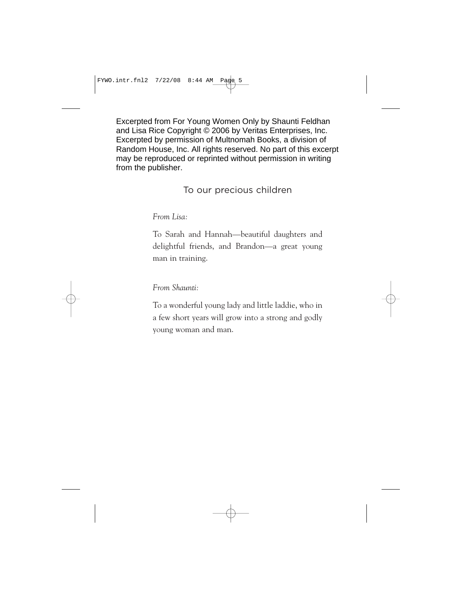Excerpted from For Young Women Only by Shaunti Feldhan and Lisa Rice Copyright © 2006 by Veritas Enterprises, Inc. Excerpted by permission of Multnomah Books, a division of Random House, Inc. All rights reserved. No part of this excerpt may be reproduced or reprinted without permission in writing from the publisher.

To our precious children

*From Lisa:*

To Sarah and Hannah—beautiful daughters and delightful friends, and Brandon—a great young man in training.

*From Shaunti:*

To a wonderful young lady and little laddie, who in a few short years will grow into a strong and godly young woman and man.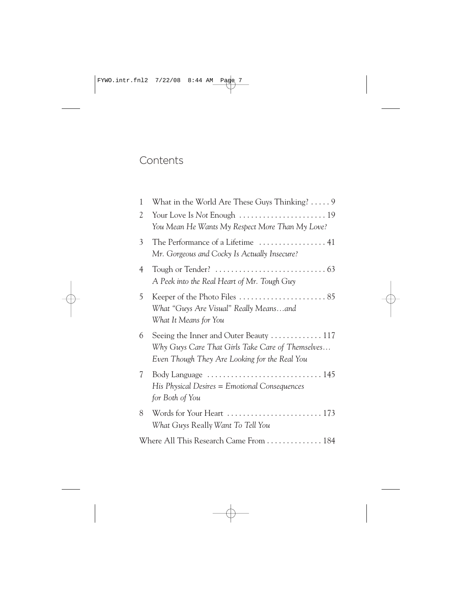# **Contents**

| 1                                      | What in the World Are These Guys Thinking? $\dots$ .                                                                                        |  |
|----------------------------------------|---------------------------------------------------------------------------------------------------------------------------------------------|--|
| 2                                      | You Mean He Wants My Respect More Than My Love?                                                                                             |  |
| 3                                      | Mr. Gorgeous and Cocky Is Actually Insecure?                                                                                                |  |
| $\overline{4}$                         | Tough or Tender? $\ldots \ldots \ldots \ldots \ldots \ldots \ldots \ldots \ldots$ 63<br>A Peek into the Real Heart of Mr. Tough Guy         |  |
| 5                                      | What "Guys Are Visual" Really Means…and<br>What It Means for You                                                                            |  |
| 6                                      | Seeing the Inner and Outer Beauty  117<br>Why Guys Care That Girls Take Care of Themselves<br>Even Though They Are Looking for the Real You |  |
| 7                                      | His Physical Desires = Emotional Consequences<br>for Both of You                                                                            |  |
| 8                                      | What Guys Really Want To Tell You                                                                                                           |  |
| Where All This Research Came From  184 |                                                                                                                                             |  |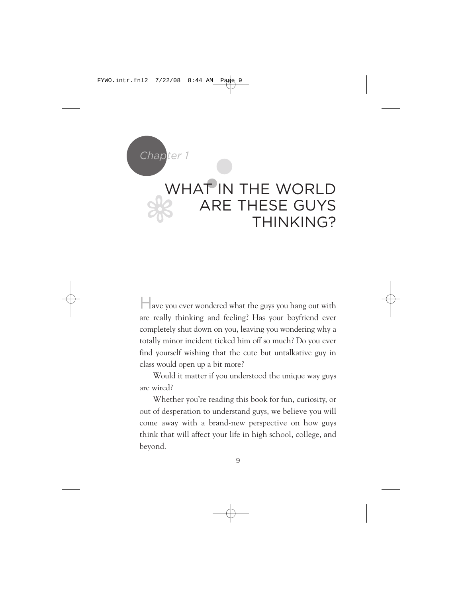

Have you ever wondered what the guys you hang out with are really thinking and feeling? Has your boyfriend ever completely shut down on you, leaving you wondering why a totally minor incident ticked him off so much? Do you ever find yourself wishing that the cute but untalkative guy in class would open up a bit more?

Would it matter if you understood the unique way guys are wired?

Whether you're reading this book for fun, curiosity, or out of desperation to understand guys, we believe you will come away with a brand-new perspective on how guys think that will affect your life in high school, college, and beyond.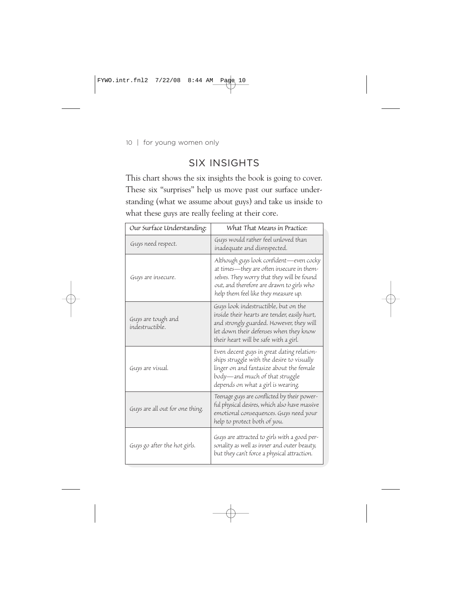# SIX INSIGHTS

This chart shows the six insights the book is going to cover. These six "surprises" help us move past our surface understanding (what we assume about guys) and take us inside to what these guys are really feeling at their core.

| Our Surface Understanding:            | What That Means in Practice:                                                                                                                                                                                            |
|---------------------------------------|-------------------------------------------------------------------------------------------------------------------------------------------------------------------------------------------------------------------------|
| Guys need respect.                    | Guys would rather feel unloved than<br>inadequate and disrespected.                                                                                                                                                     |
| Guys are insecure.                    | Although guys look confident-even cocky<br>at times—they are often insecure in them-<br>selves. They worry that they will be found<br>out, and therefore are drawn to girls who<br>help them feel like they measure up. |
| Guys are tough and<br>indestructible. | Guys look indestructible, but on the<br>inside their hearts are tender, easily hurt,<br>and strongly guarded. However, they will<br>let down their defenses when they know<br>their heart will be safe with a girl.     |
| Guys are visual.                      | Even decent guys in great dating relation-<br>ships struggle with the desire to visually<br>linger on and fantasize about the female<br>body—and much of that struggle<br>depends on what a girl is wearing.            |
| Guys are all out for one thing.       | Teenage guys are conflicted by their power-<br>ful physical desires, which also have massive<br>emotional consequences. Guys need your<br>help to protect both of you.                                                  |
| Guys go after the hot girls.          | Guys are attracted to girls with a good per-<br>sonality as well as inner and outer beauty,<br>but they can't force a physical attraction.                                                                              |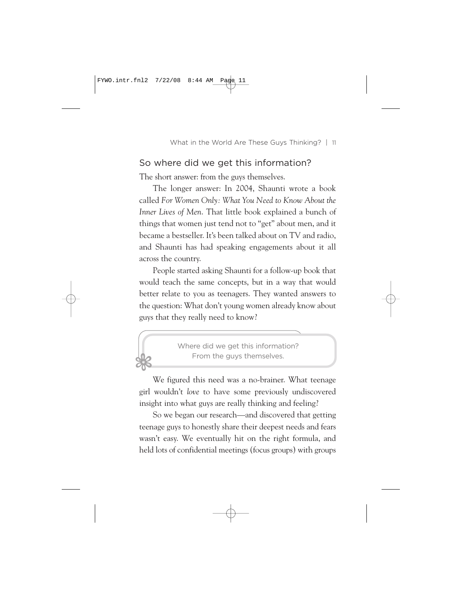#### So where did we get this information?

The short answer: from the guys themselves.

The longer answer: In 2004, Shaunti wrote a book called *For Women Only: What You Need to Know About the Inner Lives of Men*. That little book explained a bunch of things that women just tend not to "get" about men, and it became a bestseller. It's been talked about on TV and radio, and Shaunti has had speaking engagements about it all across the country.

People started asking Shaunti for a follow-up book that would teach the same concepts, but in a way that would better relate to you as teenagers. They wanted answers to the question: What don't young women already know about guys that they really need to know?



We figured this need was a no-brainer. What teenage girl wouldn't *love* to have some previously undiscovered insight into what guys are really thinking and feeling?

So we began our research—and discovered that getting teenage guys to honestly share their deepest needs and fears wasn't easy. We eventually hit on the right formula, and held lots of confidential meetings (focus groups) with groups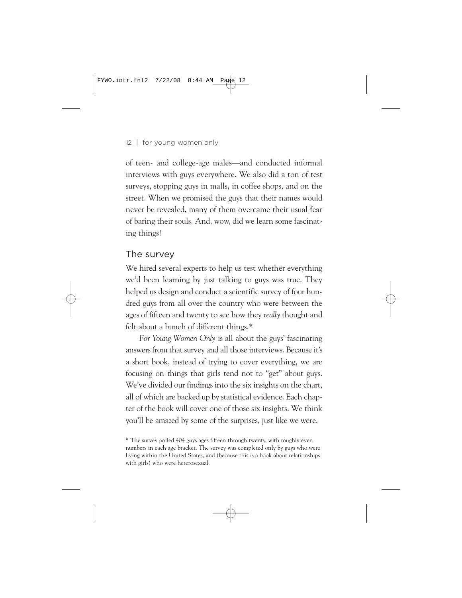of teen- and college-age males—and conducted informal interviews with guys everywhere. We also did a ton of test surveys, stopping guys in malls, in coffee shops, and on the street. When we promised the guys that their names would never be revealed, many of them overcame their usual fear of baring their souls. And, wow, did we learn some fascinating things!

#### The survey

We hired several experts to help us test whether everything we'd been learning by just talking to guys was true. They helped us design and conduct a scientific survey of four hundred guys from all over the country who were between the ages of fifteen and twenty to see how they *really* thought and felt about a bunch of different things.\*

*For Young Women Only* is all about the guys' fascinating answers from that survey and all those interviews. Because it's a short book, instead of trying to cover everything, we are focusing on things that girls tend not to "get" about guys. We've divided our findings into the six insights on the chart, all of which are backed up by statistical evidence. Each chapter of the book will cover one of those six insights. We think you'll be amazed by some of the surprises, just like we were.

<sup>\*</sup> The survey polled 404 guys ages fifteen through twenty, with roughly even numbers in each age bracket. The survey was completed only by guys who were living within the United States, and (because this is a book about relationships with girls) who were heterosexual.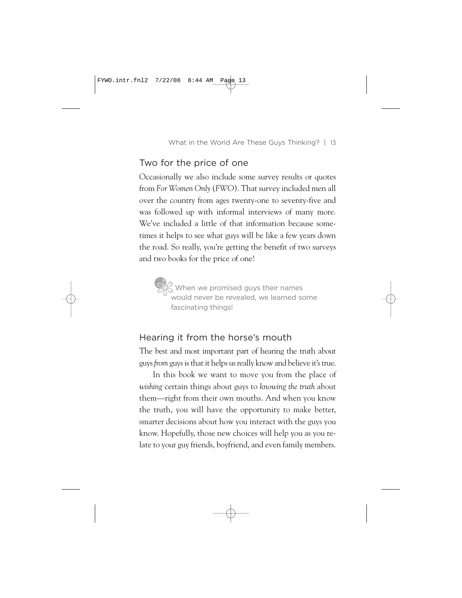## Two for the price of one

Occasionally we also include some survey results or quotes from *For Women Only* (*FWO*). That survey included men all over the country from ages twenty-one to seventy-five and was followed up with informal interviews of many more. We've included a little of that information because sometimes it helps to see what guys will be like a few years down the road. So really, you're getting the benefit of two surveys and two books for the price of one!

**9%** When we promised guys their names would never be revealed, we learned some fascinating things!

#### Hearing it from the horse's mouth

The best and most important part of hearing the truth about guys *from* guys is that it helps us really know and believe it's true.

In this book we want to move you from the place of *wishing* certain things about guys to *knowing the truth* about them—right from their own mouths. And when you know the truth, you will have the opportunity to make better, smarter decisions about how you interact with the guys you know. Hopefully, those new choices will help you as you relate to your guy friends, boyfriend, and even family members.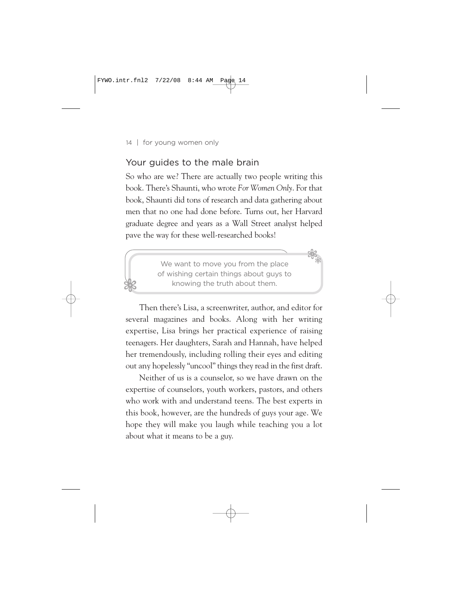28

# Your guides to the male brain

So who are we? There are actually two people writing this book. There's Shaunti, who wrote *For Women Only*. For that book, Shaunti did tons of research and data gathering about men that no one had done before. Turns out, her Harvard graduate degree and years as a Wall Street analyst helped pave the way for these well-researched books!

> We want to move you from the place of wishing certain things about guys to knowing the truth about them.

28

Then there's Lisa, a screenwriter, author, and editor for several magazines and books. Along with her writing expertise, Lisa brings her practical experience of raising teenagers. Her daughters, Sarah and Hannah, have helped her tremendously, including rolling their eyes and editing out any hopelessly "uncool" things they read in the first draft.

Neither of us is a counselor, so we have drawn on the expertise of counselors, youth workers, pastors, and others who work with and understand teens. The best experts in this book, however, are the hundreds of guys your age. We hope they will make you laugh while teaching you a lot about what it means to be a guy.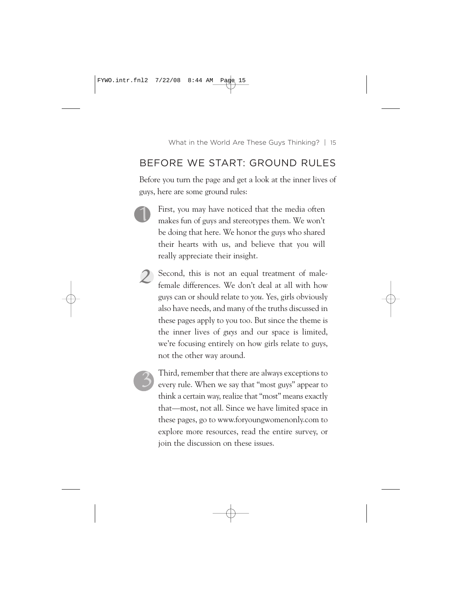# BEFORE WE START: GROUND RULES

Before you turn the page and get a look at the inner lives of guys, here are some ground rules:

- First, you may have noticed that the media often makes fun of guys and stereotypes them. We won't be doing that here. We honor the guys who shared their hearts with us, and believe that you will really appreciate their insight. *1*
	- *2* Second, this is not an equal treatment of malefemale differences. We don't deal at all with how guys can or should relate to *you*. Yes, girls obviously also have needs, and many of the truths discussed in these pages apply to you too. But since the theme is the inner lives of *guys* and our space is limited, we're focusing entirely on how girls relate to guys, not the other way around.

*3*

Third, remember that there are always exceptions to every rule. When we say that "most guys" appear to think a certain way, realize that "most" means exactly that—most, not all. Since we have limited space in these pages, go to www.foryoungwomenonly.com to explore more resources, read the entire survey, or join the discussion on these issues.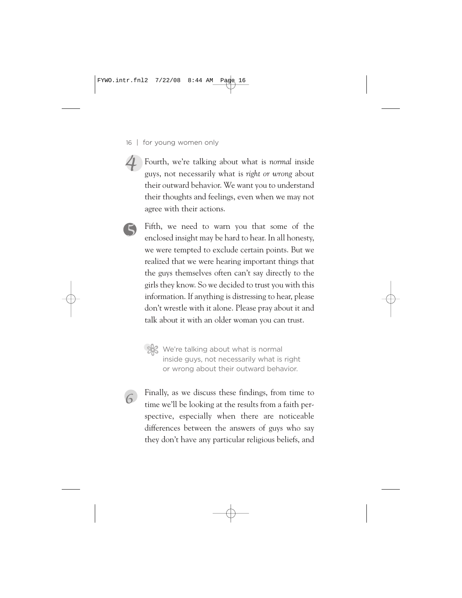- 16 | for young women only
- Fourth, we're talking about what is *normal* inside guys, not necessarily what is *right or wrong* about their outward behavior. We want you to understand their thoughts and feelings, even when we may not agree with their actions. *4*
	- Fifth, we need to warn you that some of the enclosed insight may be hard to hear. In all honesty, we were tempted to exclude certain points. But we realized that we were hearing important things that the guys themselves often can't say directly to the girls they know. So we decided to trust you with this information. If anything is distressing to hear, please don't wrestle with it alone. Please pray about it and talk about it with an older woman you can trust.

*6*

*5*

We're talking about what is normal inside guys, not necessarily what is right or wrong about their outward behavior.

Finally, as we discuss these findings, from time to time we'll be looking at the results from a faith perspective, especially when there are noticeable differences between the answers of guys who say they don't have any particular religious beliefs, and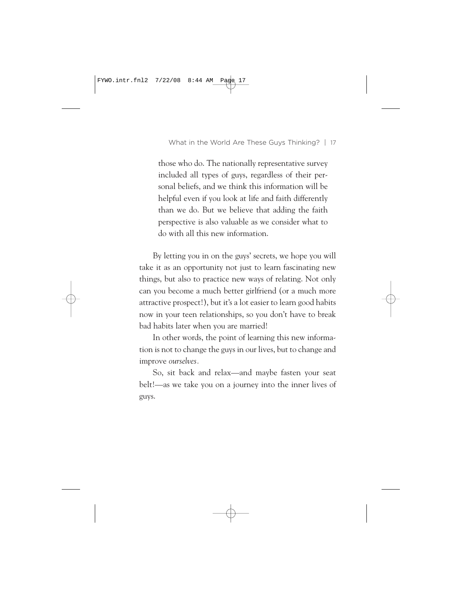those who do. The nationally representative survey included all types of guys, regardless of their personal beliefs, and we think this information will be helpful even if you look at life and faith differently than we do. But we believe that adding the faith perspective is also valuable as we consider what to do with all this new information.

By letting you in on the guys' secrets, we hope you will take it as an opportunity not just to learn fascinating new things, but also to practice new ways of relating. Not only can you become a much better girlfriend (or a much more attractive prospect!), but it's a lot easier to learn good habits now in your teen relationships, so you don't have to break bad habits later when you are married!

In other words, the point of learning this new information is not to change the guys in our lives, but to change and improve *ourselves.*

So, sit back and relax—and maybe fasten your seat belt!—as we take you on a journey into the inner lives of guys.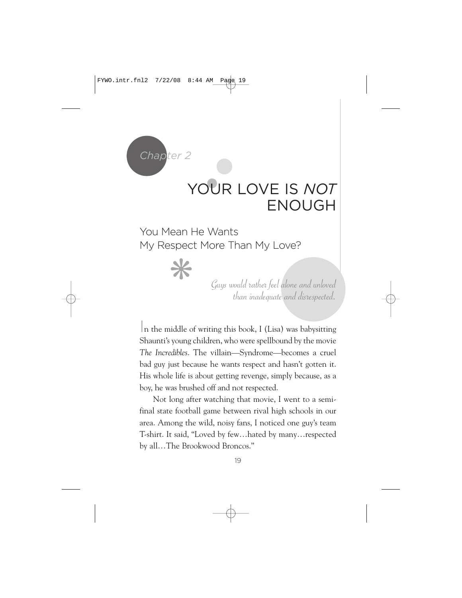

# YOUR LOVE IS *NOT* ENOUGH

❋ You Mean He Wants My Respect More Than My Love?

Guys would rather feel alone and unloved than inadequate and disrespected.

In the middle of writing this book, I (Lisa) was babysitting Shaunti's young children, who were spellbound by the movie *The Incredibles*. The villain—Syndrome—becomes a cruel bad guy just because he wants respect and hasn't gotten it. His whole life is about getting revenge, simply because, as a boy, he was brushed off and not respected.

Not long after watching that movie, I went to a semifinal state football game between rival high schools in our area. Among the wild, noisy fans, I noticed one guy's team T-shirt. It said, "Loved by few…hated by many…respected by all…The Brookwood Broncos."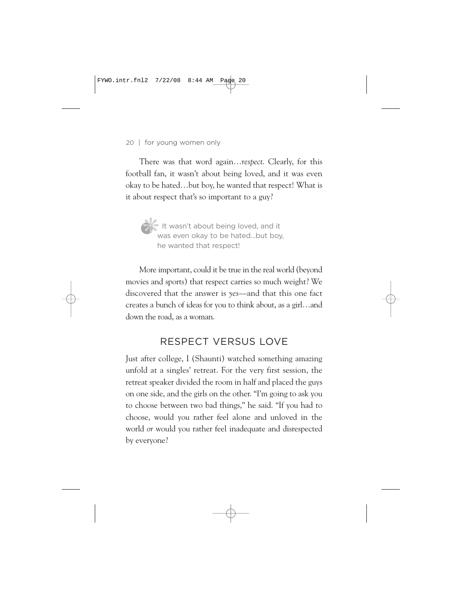There was that word again…*respect*. Clearly, for this football fan, it wasn't about being loved, and it was even okay to be hated…but boy, he wanted that respect! What is it about respect that's so important to a guy?

It wasn't about being loved, and it<br>was even okay to be hated...but boy<br>he wanted that respect! was even okay to be hated…but boy, he wanted that respect!

More important, could it be true in the real world (beyond movies and sports) that respect carries so much weight? We discovered that the answer is *yes*—and that this one fact creates a bunch of ideas for you to think about, as a girl…and down the road, as a woman.

# RESPECT VERSUS LOVE

Just after college, I (Shaunti) watched something amazing unfold at a singles' retreat. For the very first session, the retreat speaker divided the room in half and placed the guys on one side, and the girls on the other. "I'm going to ask you to choose between two bad things," he said. "If you had to choose, would you rather feel alone and unloved in the world *or* would you rather feel inadequate and disrespected by everyone?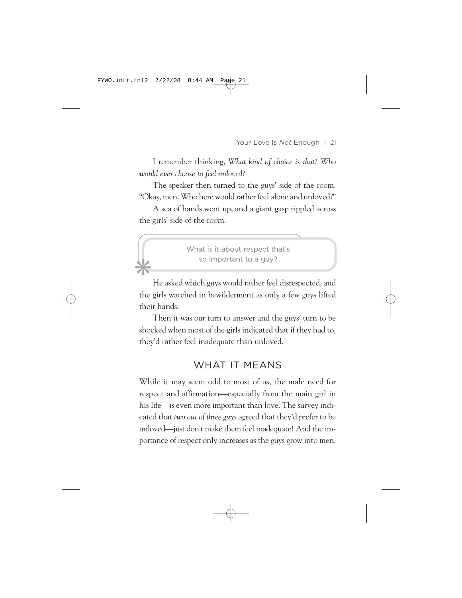I remember thinking, *What kind of choice is that? Who would ever choose to feel unloved?*

The speaker then turned to the guys' side of the room. "Okay, men. Who here would rather feel alone and unloved?"

A sea of hands went up, and a giant gasp rippled across the girls' side of the room.

> What is it about respect that's so important to a guy?

❋

He asked which guys would rather feel disrespected, and the girls watched in bewilderment as only a few guys lifted their hands.

Then it was our turn to answer and the guys' turn to be shocked when most of the girls indicated that if they had to, they'd rather feel inadequate than unloved.

# WHAT IT MEANS

While it may seem odd to most of us, the male need for respect and affirmation—especially from the main girl in his life—is even more important than love. The survey indicated that *two out of three guys* agreed that they'd prefer to be unloved—just don't make them feel inadequate! And the importance of respect only increases as the guys grow into men.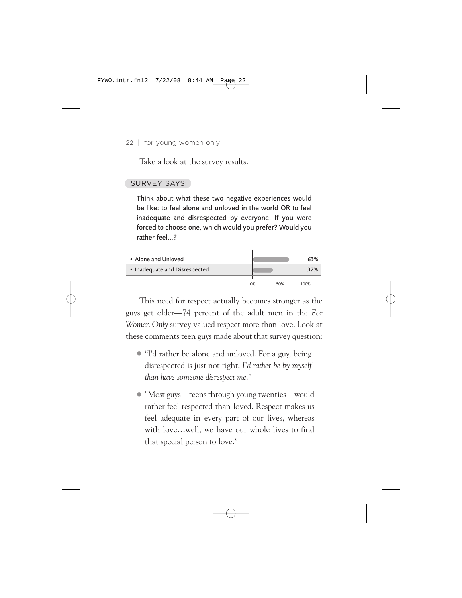Take a look at the survey results.

#### SURVEY SAYS:

Think about what these two negative experiences would be like: to feel alone and unloved in the world OR to feel inadequate and disrespected by everyone. If you were forced to choose one, which would you prefer? Would you rather feel…?



This need for respect actually becomes stronger as the guys get older—74 percent of the adult men in the *For Women Only* survey valued respect more than love. Look at these comments teen guys made about that survey question:

- "I'd rather be alone and unloved. For a guy, being disrespected is just not right. *I'd rather be by myself than have someone disrespect me*."
- "Most guys—teens through young twenties—would rather feel respected than loved. Respect makes us feel adequate in every part of our lives, whereas with love…well, we have our whole lives to find that special person to love."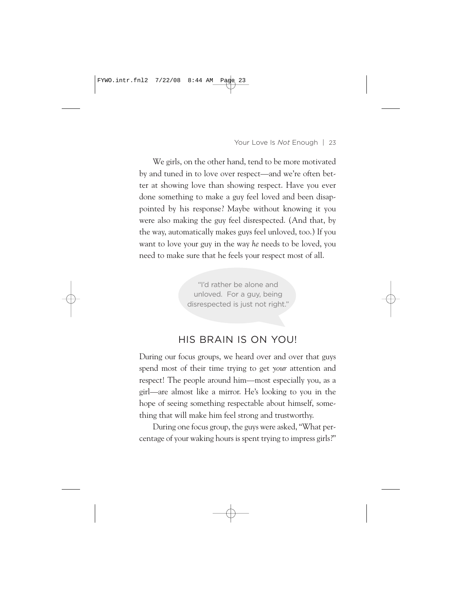We girls, on the other hand, tend to be more motivated by and tuned in to love over respect—and we're often better at showing love than showing respect. Have you ever done something to make a guy feel loved and been disappointed by his response? Maybe without knowing it you were also making the guy feel disrespected. (And that, by the way, automatically makes guys feel unloved, too.) If you want to love your guy in the way *he* needs to be loved, you need to make sure that he feels your respect most of all.

> "I'd rather be alone and unloved. For a guy, being disrespected is just not right."

## HIS BRAIN IS ON YOU!

During our focus groups, we heard over and over that guys spend most of their time trying to get *your* attention and respect! The people around him—most especially you, as a girl—are almost like a mirror. He's looking to you in the hope of seeing something respectable about himself, something that will make him feel strong and trustworthy.

During one focus group, the guys were asked, "What percentage of your waking hours is spent trying to impress girls?"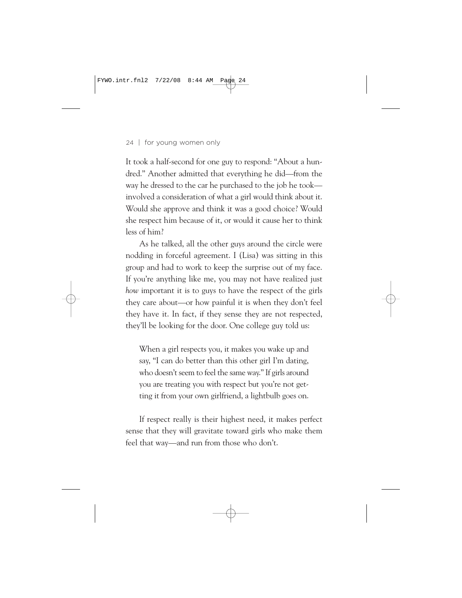It took a half-second for one guy to respond: "About a hundred." Another admitted that everything he did—from the way he dressed to the car he purchased to the job he took involved a consideration of what a girl would think about it. Would she approve and think it was a good choice? Would she respect him because of it, or would it cause her to think less of him?

As he talked, all the other guys around the circle were nodding in forceful agreement. I (Lisa) was sitting in this group and had to work to keep the surprise out of my face. If you're anything like me, you may not have realized just *how* important it is to guys to have the respect of the girls they care about—or how painful it is when they don't feel they have it. In fact, if they sense they are not respected, they'll be looking for the door. One college guy told us:

When a girl respects you, it makes you wake up and say, "I can do better than this other girl I'm dating, who doesn't seem to feel the same way." If girls around you are treating you with respect but you're not getting it from your own girlfriend, a lightbulb goes on.

If respect really is their highest need, it makes perfect sense that they will gravitate toward girls who make them feel that way—and run from those who don't.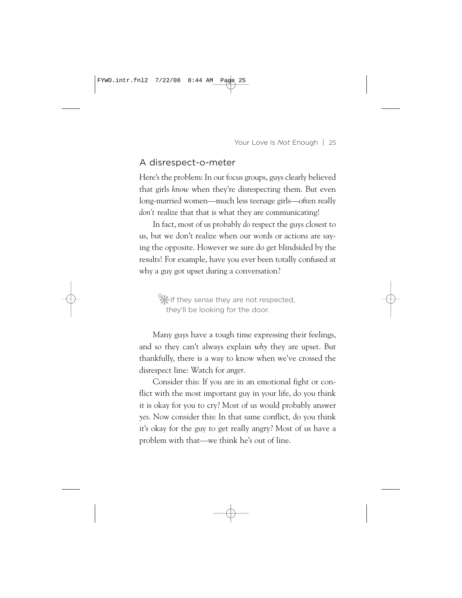#### A disrespect-o-meter

Here's the problem: In our focus groups, guys clearly believed that girls *know* when they're disrespecting them. But even long-married women—much less teenage girls—often really *don't* realize that that is what they are communicating!

In fact, most of us probably *do* respect the guys closest to us, but we don't realize when our words or actions are saying the opposite. However we sure do get blindsided by the results! For example, have you ever been totally confused at why a guy got upset during a conversation?

•❋If they sense they are not respected, they'll be looking for the door.

Many guys have a tough time expressing their feelings, and so they can't always explain *why* they are upset. But thankfully, there is a way to know when we've crossed the disrespect line: Watch for *anger*.

Consider this: If you are in an emotional fight or conflict with the most important guy in your life, do you think it is okay for you to cry? Most of us would probably answer *yes*. Now consider this: In that same conflict, do you think it's okay for the guy to get really angry? Most of us have a problem with that—we think he's out of line.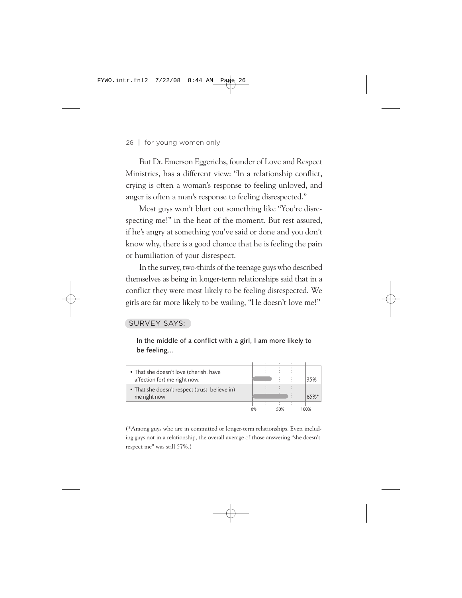But Dr. Emerson Eggerichs, founder of Love and Respect Ministries, has a different view: "In a relationship conflict, crying is often a woman's response to feeling unloved, and anger is often a man's response to feeling disrespected."

Most guys won't blurt out something like "You're disrespecting me!" in the heat of the moment. But rest assured, if he's angry at something you've said or done and you don't know why, there is a good chance that he is feeling the pain or humiliation of your disrespect.

In the survey, two-thirds of the teenage guys who described themselves as being in longer-term relationships said that in a conflict they were most likely to be feeling disrespected. We girls are far more likely to be wailing, "He doesn't love me!"

#### SURVEY SAYS:

In the middle of a conflict with a girl, I am more likely to be feeling…



(\*Among guys who are in committed or longer-term relationships. Even including guys not in a relationship, the overall average of those answering "she doesn't respect me" was still 57%.)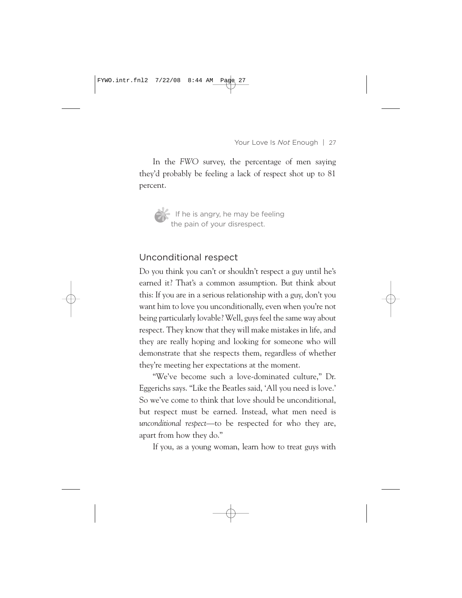In the *FWO* survey, the percentage of men saying they'd probably be feeling a lack of respect shot up to 81 percent.



If he is angry, he may be feeling<br>the pain of your disrespect. the pain of your disrespect.

#### Unconditional respect

Do you think you can't or shouldn't respect a guy until he's earned it? That's a common assumption. But think about this: If you are in a serious relationship with a guy, don't you want him to love you unconditionally, even when you're not being particularly lovable? Well, guys feel the same way about respect. They know that they will make mistakes in life, and they are really hoping and looking for someone who will demonstrate that she respects them, regardless of whether they're meeting her expectations at the moment.

"We've become such a love-dominated culture," Dr. Eggerichs says. "Like the Beatles said, 'All you need is love.' So we've come to think that love should be unconditional, but respect must be earned. Instead, what men need is *unconditional respect*—to be respected for who they are, apart from how they do."

If you, as a young woman, learn how to treat guys with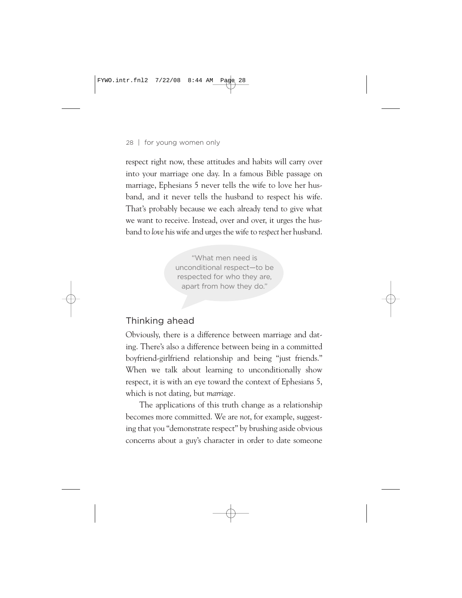respect right now, these attitudes and habits will carry over into your marriage one day. In a famous Bible passage on marriage, Ephesians 5 never tells the wife to love her husband, and it never tells the husband to respect his wife. That's probably because we each already tend to give what we want to receive. Instead, over and over, it urges the husband to *love* his wife and urges the wife to *respect* her husband.

> "What men need is unconditional respect—to be respected for who they are, apart from how they do."

#### Thinking ahead

Obviously, there is a difference between marriage and dating. There's also a difference between being in a committed boyfriend-girlfriend relationship and being "just friends." When we talk about learning to unconditionally show respect, it is with an eye toward the context of Ephesians 5, which is not dating, but *marriage.*

The applications of this truth change as a relationship becomes more committed. We are *not*, for example, suggesting that you "demonstrate respect" by brushing aside obvious concerns about a guy's character in order to date someone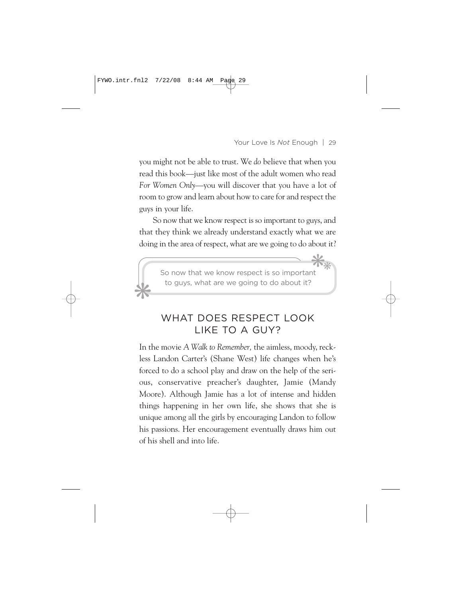you might not be able to trust. We *do* believe that when you read this book—just like most of the adult women who read *For Women Only*—you will discover that you have a lot of room to grow and learn about how to care for and respect the guys in your life.

So now that we know respect is so important to guys, and that they think we already understand exactly what we are doing in the area of respect, what are we going to do about it?



# WHAT DOES RESPECT LOOK LIKE TO A GUY?

In the movie *A Walk to Remember,* the aimless, moody, reckless Landon Carter's (Shane West) life changes when he's forced to do a school play and draw on the help of the serious, conservative preacher's daughter, Jamie (Mandy Moore). Although Jamie has a lot of intense and hidden things happening in her own life, she shows that she is unique among all the girls by encouraging Landon to follow his passions. Her encouragement eventually draws him out of his shell and into life.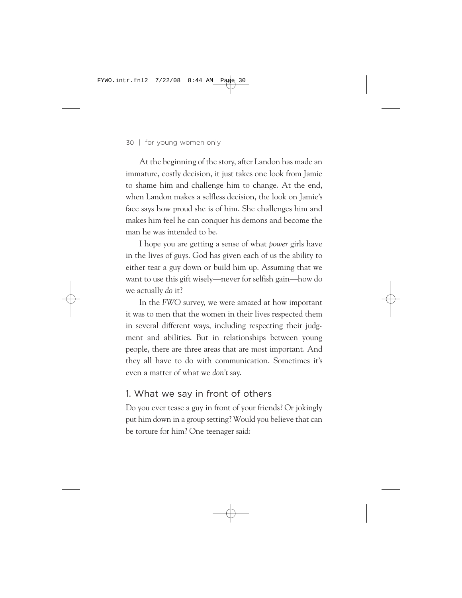At the beginning of the story, after Landon has made an immature, costly decision, it just takes one look from Jamie to shame him and challenge him to change. At the end, when Landon makes a selfless decision, the look on Jamie's face says how proud she is of him. She challenges him and makes him feel he can conquer his demons and become the man he was intended to be.

I hope you are getting a sense of what *power* girls have in the lives of guys. God has given each of us the ability to either tear a guy down or build him up. Assuming that we want to use this gift wisely—never for selfish gain—how do we actually *do* it?

In the *FWO* survey, we were amazed at how important it was to men that the women in their lives respected them in several different ways, including respecting their judgment and abilities. But in relationships between young people, there are three areas that are most important. And they all have to do with communication. Sometimes it's even a matter of what we *don't* say.

#### 1. What we say in front of others

Do you ever tease a guy in front of your friends? Or jokingly put him down in a group setting? Would you believe that can be torture for him? One teenager said: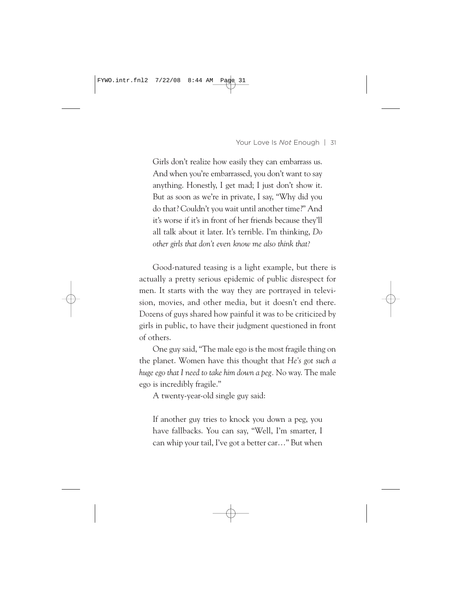Girls don't realize how easily they can embarrass us. And when you're embarrassed, you don't want to say anything. Honestly, I get mad; I just don't show it. But as soon as we're in private, I say, "Why did you do that? Couldn't you wait until another time?" And it's worse if it's in front of her friends because they'll all talk about it later. It's terrible. I'm thinking, *Do other girls that don't even know me also think that?*

Good-natured teasing is a light example, but there is actually a pretty serious epidemic of public disrespect for men. It starts with the way they are portrayed in television, movies, and other media, but it doesn't end there. Dozens of guys shared how painful it was to be criticized by girls in public, to have their judgment questioned in front of others.

One guy said, "The male ego is the most fragile thing on the planet. Women have this thought that *He's got such a huge ego that I need to take him down a peg.* No way. The male ego is incredibly fragile."

A twenty-year-old single guy said:

If another guy tries to knock you down a peg, you have fallbacks. You can say, "Well, I'm smarter, I can whip your tail, I've got a better car…" But when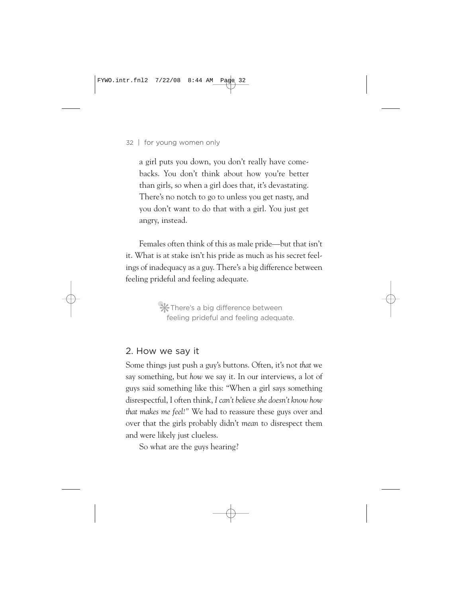a girl puts you down, you don't really have comebacks. You don't think about how you're better than girls, so when a girl does that, it's devastating. There's no notch to go to unless you get nasty, and you don't want to do that with a girl. You just get angry, instead.

Females often think of this as male pride—but that isn't it. What is at stake isn't his pride as much as his secret feelings of inadequacy as a guy. There's a big difference between feeling prideful and feeling adequate.

> •❋There's a big difference between feeling prideful and feeling adequate.

#### 2. How we say it

Some things just push a guy's buttons. Often, it's not *that* we say something, but *how* we say it. In our interviews, a lot of guys said something like this: "When a girl says something disrespectful, I often think, *I can't believe she doesn't know how that makes me feel!"* We had to reassure these guys over and over that the girls probably didn't *mean* to disrespect them and were likely just clueless.

So what are the guys hearing?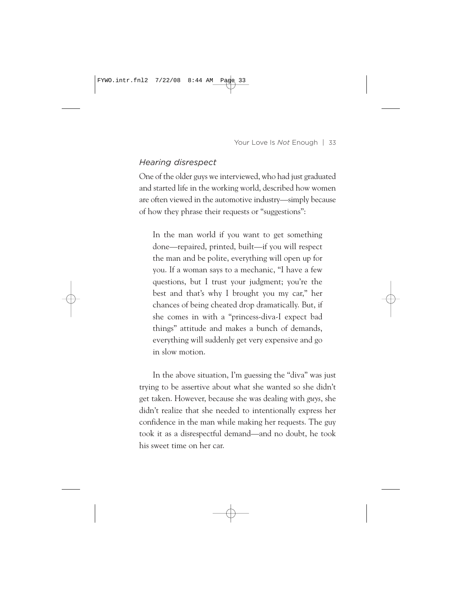#### *Hearing disrespect*

One of the older guys we interviewed, who had just graduated and started life in the working world, described how women are often viewed in the automotive industry—simply because of how they phrase their requests or "suggestions":

In the man world if you want to get something done—repaired, printed, built—if you will respect the man and be polite, everything will open up for you. If a woman says to a mechanic, "I have a few questions, but I trust your judgment; you're the best and that's why I brought you my car," her chances of being cheated drop dramatically. But, if she comes in with a "princess-diva-I expect bad things" attitude and makes a bunch of demands, everything will suddenly get very expensive and go in slow motion.

In the above situation, I'm guessing the "diva" was just trying to be assertive about what she wanted so she didn't get taken. However, because she was dealing with *guys*, she didn't realize that she needed to intentionally express her confidence in the man while making her requests. The guy took it as a disrespectful demand—and no doubt, he took his sweet time on her car.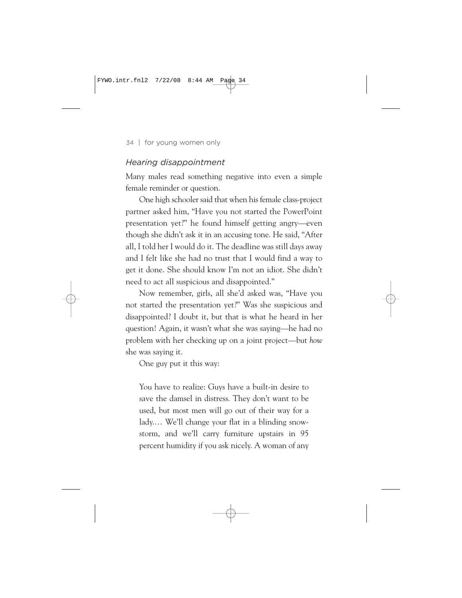#### *Hearing disappointment*

Many males read something negative into even a simple female reminder or question.

One high schooler said that when his female class-project partner asked him, "Have you not started the PowerPoint presentation yet?" he found himself getting angry—even though she didn't ask it in an accusing tone. He said, "After all, I told her I would do it. The deadline was still days away and I felt like she had no trust that I would find a way to get it done. She should know I'm not an idiot. She didn't need to act all suspicious and disappointed."

Now remember, girls, all she'd asked was, "Have you not started the presentation yet?" Was she suspicious and disappointed? I doubt it, but that is what he heard in her question! Again, it wasn't what she was saying—he had no problem with her checking up on a joint project—but *how* she was saying it.

One guy put it this way:

You have to realize: Guys have a built-in desire to save the damsel in distress. They don't want to be used, but most men will go out of their way for a lady.… We'll change your flat in a blinding snowstorm, and we'll carry furniture upstairs in 95 percent humidity if you ask nicely. A woman of any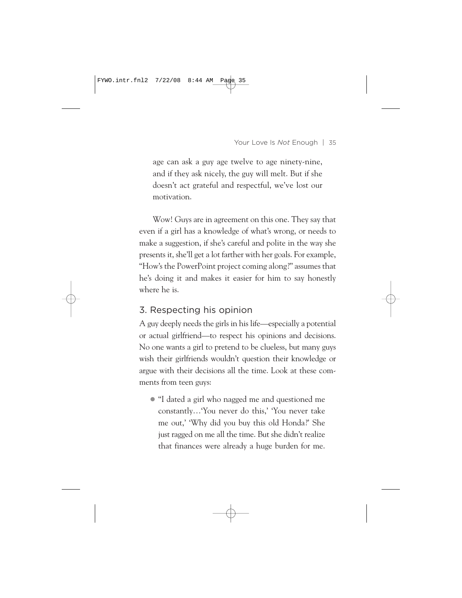age can ask a guy age twelve to age ninety-nine, and if they ask nicely, the guy will melt. But if she doesn't act grateful and respectful, we've lost our motivation.

Wow! Guys are in agreement on this one. They say that even if a girl has a knowledge of what's wrong, or needs to make a suggestion, if she's careful and polite in the way she presents it, she'll get a lot farther with her goals. For example, "How's the PowerPoint project coming along?" assumes that he's doing it and makes it easier for him to say honestly where he is.

## 3. Respecting his opinion

A guy deeply needs the girls in his life—especially a potential or actual girlfriend—to respect his opinions and decisions. No one wants a girl to pretend to be clueless, but many guys wish their girlfriends wouldn't question their knowledge or argue with their decisions all the time. Look at these comments from teen guys:

• "I dated a girl who nagged me and questioned me constantly…'You never do this,' 'You never take me out,' 'Why did you buy this old Honda?' She just ragged on me all the time. But she didn't realize that finances were already a huge burden for me.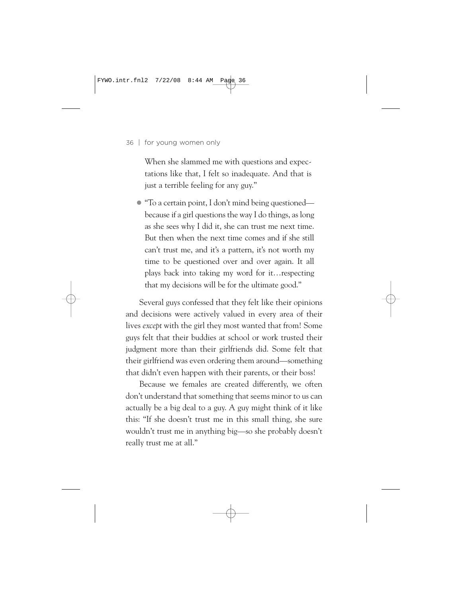When she slammed me with questions and expectations like that, I felt so inadequate. And that is just a terrible feeling for any guy."

• "To a certain point, I don't mind being questioned because if a girl questions the way I do things, as long as she sees why I did it, she can trust me next time. But then when the next time comes and if she still can't trust me, and it's a pattern, it's not worth my time to be questioned over and over again. It all plays back into taking my word for it…respecting that my decisions will be for the ultimate good."

Several guys confessed that they felt like their opinions and decisions were actively valued in every area of their lives *except* with the girl they most wanted that from! Some guys felt that their buddies at school or work trusted their judgment more than their girlfriends did. Some felt that their girlfriend was even ordering them around—something that didn't even happen with their parents, or their boss!

Because we females are created differently, we often don't understand that something that seems minor to us can actually be a big deal to a guy. A guy might think of it like this: "If she doesn't trust me in this small thing, she sure wouldn't trust me in anything big—so she probably doesn't really trust me at all."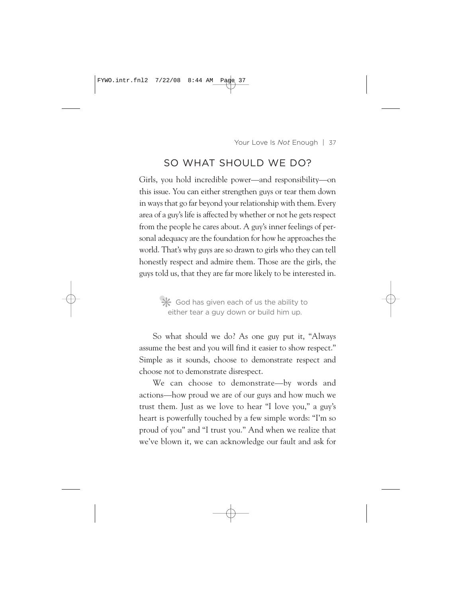## SO WHAT SHOULD WE DO?

Girls, you hold incredible power—and responsibility—on this issue. You can either strengthen guys or tear them down in ways that go far beyond your relationship with them. Every area of a guy's life is affected by whether or not he gets respect from the people he cares about. A guy's inner feelings of personal adequacy are the foundation for how he approaches the world. That's why guys are so drawn to girls who they can tell honestly respect and admire them. Those are the girls, the guys told us, that they are far more likely to be interested in.

> •❋ God has given each of us the ability to either tear a guy down or build him up.

So what should we do? As one guy put it, "Always assume the best and you will find it easier to show respect." Simple as it sounds, choose to demonstrate respect and choose *not* to demonstrate disrespect.

We can choose to demonstrate—by words and actions—how proud we are of our guys and how much we trust them. Just as we love to hear "I love you," a guy's heart is powerfully touched by a few simple words: "I'm so proud of you" and "I trust you." And when we realize that we've blown it, we can acknowledge our fault and ask for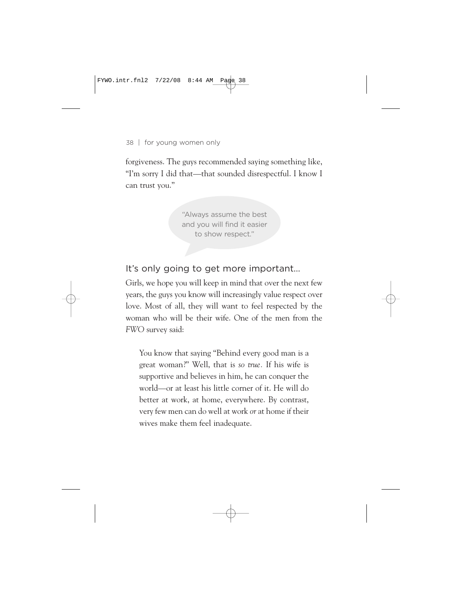forgiveness. The guys recommended saying something like, "I'm sorry I did that—that sounded disrespectful. I know I can trust you."

> "Always assume the best and you will find it easier to show respect."

It's only going to get more important…

Girls, we hope you will keep in mind that over the next few years, the guys you know will increasingly value respect over love. Most of all, they will want to feel respected by the woman who will be their wife. One of the men from the *FWO* survey said:

You know that saying "Behind every good man is a great woman?" Well, that is *so true.* If his wife is supportive and believes in him, he can conquer the world—or at least his little corner of it. He will do better at work, at home, everywhere. By contrast, very few men can do well at work *or* at home if their wives make them feel inadequate.